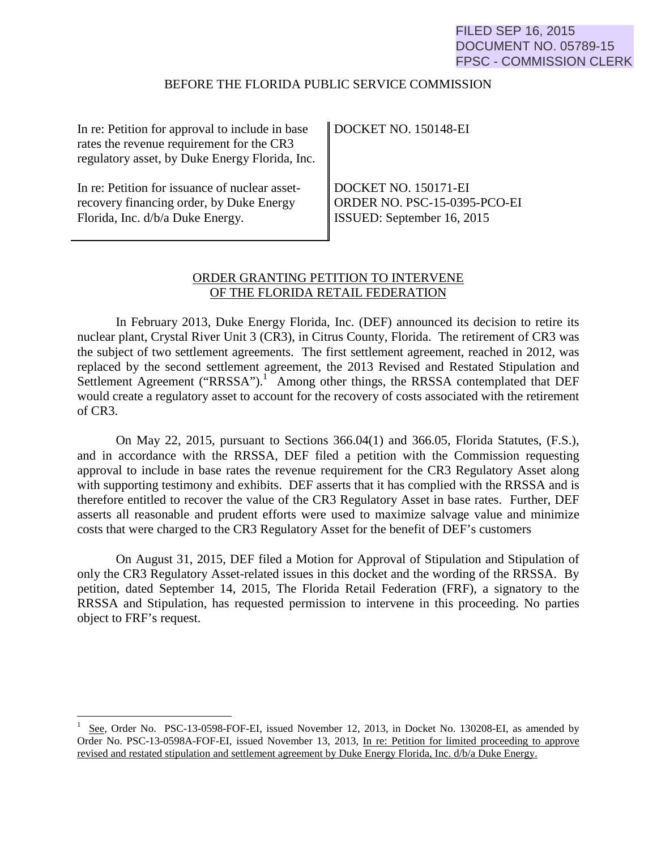## FILED SEP 16, 2015 DOCUMENT NO. 05789-15 FPSC - COMMISSION CLERK

#### BEFORE THE FLORIDA PUBLIC SERVICE COMMISSION

| In re: Petition for approval to include in base<br>rates the revenue requirement for the CR3<br>regulatory asset, by Duke Energy Florida, Inc. | DOCKET NO. 150148-EI              |
|------------------------------------------------------------------------------------------------------------------------------------------------|-----------------------------------|
| In re: Petition for issuance of nuclear asset-                                                                                                 | DOCKET NO. 150171-EI              |
| recovery financing order, by Duke Energy                                                                                                       | ORDER NO. PSC-15-0395-PCO-EI      |
| Florida, Inc. d/b/a Duke Energy.                                                                                                               | <b>ISSUED:</b> September 16, 2015 |

## ORDER GRANTING PETITION TO INTERVENE OF THE FLORIDA RETAIL FEDERATION

In February 2013, Duke Energy Florida, Inc. (DEF) announced its decision to retire its nuclear plant, Crystal River Unit 3 (CR3), in Citrus County, Florida. The retirement of CR3 was the subject of two settlement agreements. The first settlement agreement, reached in 2012, was replaced by the second settlement agreement, the 2013 Revised and Restated Stipulation and Settlement Agreement ("RRSSA").<sup>1</sup> Among other things, the RRSSA contemplated that DEF would create a regulatory asset to account for the recovery of costs associated with the retirement of CR3.

On May 22, 2015, pursuant to Sections 366.04(1) and 366.05, Florida Statutes, (F.S.), and in accordance with the RRSSA, DEF filed a petition with the Commission requesting approval to include in base rates the revenue requirement for the CR3 Regulatory Asset along with supporting testimony and exhibits. DEF asserts that it has complied with the RRSSA and is therefore entitled to recover the value of the CR3 Regulatory Asset in base rates. Further, DEF asserts all reasonable and prudent efforts were used to maximize salvage value and minimize costs that were charged to the CR3 Regulatory Asset for the benefit of DEF's customers

On August 31, 2015, DEF filed a Motion for Approval of Stipulation and Stipulation of only the CR3 Regulatory Asset-related issues in this docket and the wording of the RRSSA. By petition, dated September 14, 2015, The Florida Retail Federation (FRF), a signatory to the RRSSA and Stipulation, has requested permission to intervene in this proceeding. No parties object to FRF's request.

<sup>1</sup> See, Order No. PSC-13-0598-FOF-EI, issued November 12, 2013, in Docket No. 130208-EI, as amended by Order No. PSC-13-0598A-FOF-EI, issued November 13, 2013, In re: Petition for limited proceeding to approve revised and restated stipulation and settlement agreement by Duke Energy Florida, Inc. d/b/a Duke Energy.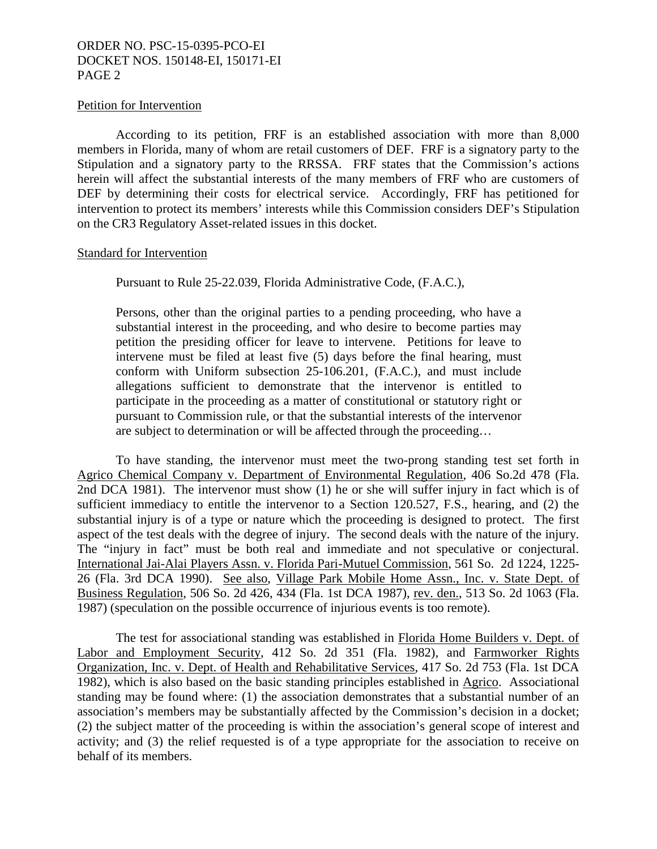### ORDER NO. PSC-15-0395-PCO-EI DOCKET NOS. 150148-EI, 150171-EI PAGE 2

#### Petition for Intervention

According to its petition, FRF is an established association with more than 8,000 members in Florida, many of whom are retail customers of DEF. FRF is a signatory party to the Stipulation and a signatory party to the RRSSA. FRF states that the Commission's actions herein will affect the substantial interests of the many members of FRF who are customers of DEF by determining their costs for electrical service. Accordingly, FRF has petitioned for intervention to protect its members' interests while this Commission considers DEF's Stipulation on the CR3 Regulatory Asset-related issues in this docket.

#### Standard for Intervention

Pursuant to Rule 25-22.039, Florida Administrative Code, (F.A.C.),

Persons, other than the original parties to a pending proceeding, who have a substantial interest in the proceeding, and who desire to become parties may petition the presiding officer for leave to intervene. Petitions for leave to intervene must be filed at least five (5) days before the final hearing, must conform with Uniform subsection 25-106.201, (F.A.C.), and must include allegations sufficient to demonstrate that the intervenor is entitled to participate in the proceeding as a matter of constitutional or statutory right or pursuant to Commission rule, or that the substantial interests of the intervenor are subject to determination or will be affected through the proceeding…

To have standing, the intervenor must meet the two-prong standing test set forth in Agrico Chemical Company v. Department of Environmental Regulation, 406 So.2d 478 (Fla. 2nd DCA 1981). The intervenor must show (1) he or she will suffer injury in fact which is of sufficient immediacy to entitle the intervenor to a Section 120.527, F.S., hearing, and (2) the substantial injury is of a type or nature which the proceeding is designed to protect. The first aspect of the test deals with the degree of injury. The second deals with the nature of the injury. The "injury in fact" must be both real and immediate and not speculative or conjectural. International Jai-Alai Players Assn. v. Florida Pari-Mutuel Commission, 561 So. 2d 1224, 1225- 26 (Fla. 3rd DCA 1990). See also, Village Park Mobile Home Assn., Inc. v. State Dept. of Business Regulation, 506 So. 2d 426, 434 (Fla. 1st DCA 1987), rev. den., 513 So. 2d 1063 (Fla. 1987) (speculation on the possible occurrence of injurious events is too remote).

The test for associational standing was established in Florida Home Builders v. Dept. of Labor and Employment Security, 412 So. 2d 351 (Fla. 1982), and Farmworker Rights Organization, Inc. v. Dept. of Health and Rehabilitative Services, 417 So. 2d 753 (Fla. 1st DCA 1982), which is also based on the basic standing principles established in Agrico. Associational standing may be found where: (1) the association demonstrates that a substantial number of an association's members may be substantially affected by the Commission's decision in a docket; (2) the subject matter of the proceeding is within the association's general scope of interest and activity; and (3) the relief requested is of a type appropriate for the association to receive on behalf of its members.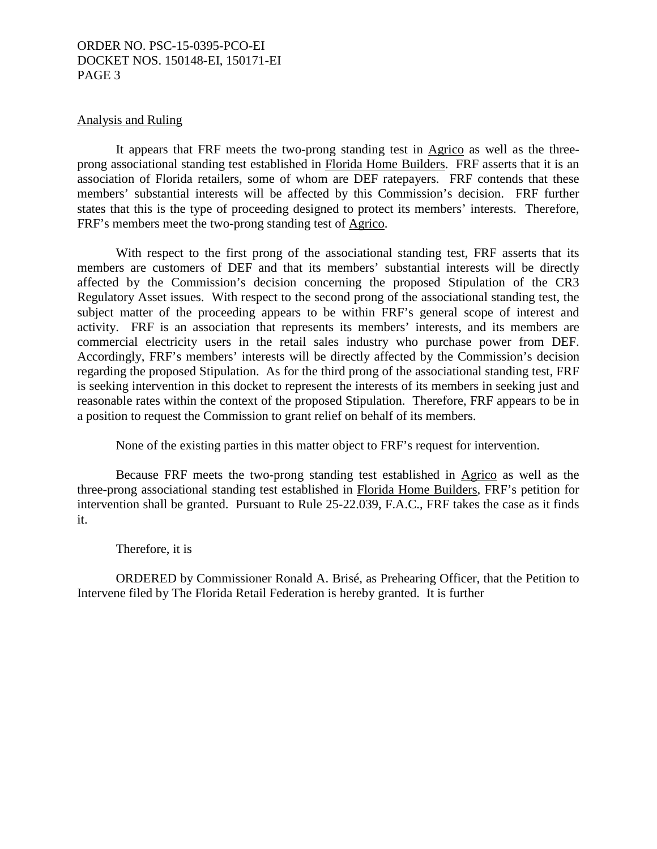### ORDER NO. PSC-15-0395-PCO-EI DOCKET NOS. 150148-EI, 150171-EI PAGE 3

#### Analysis and Ruling

It appears that FRF meets the two-prong standing test in Agrico as well as the threeprong associational standing test established in Florida Home Builders. FRF asserts that it is an association of Florida retailers, some of whom are DEF ratepayers. FRF contends that these members' substantial interests will be affected by this Commission's decision. FRF further states that this is the type of proceeding designed to protect its members' interests. Therefore, FRF's members meet the two-prong standing test of Agrico.

With respect to the first prong of the associational standing test, FRF asserts that its members are customers of DEF and that its members' substantial interests will be directly affected by the Commission's decision concerning the proposed Stipulation of the CR3 Regulatory Asset issues. With respect to the second prong of the associational standing test, the subject matter of the proceeding appears to be within FRF's general scope of interest and activity. FRF is an association that represents its members' interests, and its members are commercial electricity users in the retail sales industry who purchase power from DEF. Accordingly, FRF's members' interests will be directly affected by the Commission's decision regarding the proposed Stipulation. As for the third prong of the associational standing test, FRF is seeking intervention in this docket to represent the interests of its members in seeking just and reasonable rates within the context of the proposed Stipulation. Therefore, FRF appears to be in a position to request the Commission to grant relief on behalf of its members.

None of the existing parties in this matter object to FRF's request for intervention.

Because FRF meets the two-prong standing test established in Agrico as well as the three-prong associational standing test established in Florida Home Builders, FRF's petition for intervention shall be granted. Pursuant to Rule 25-22.039, F.A.C., FRF takes the case as it finds it.

Therefore, it is

ORDERED by Commissioner Ronald A. Brisé, as Prehearing Officer, that the Petition to Intervene filed by The Florida Retail Federation is hereby granted. It is further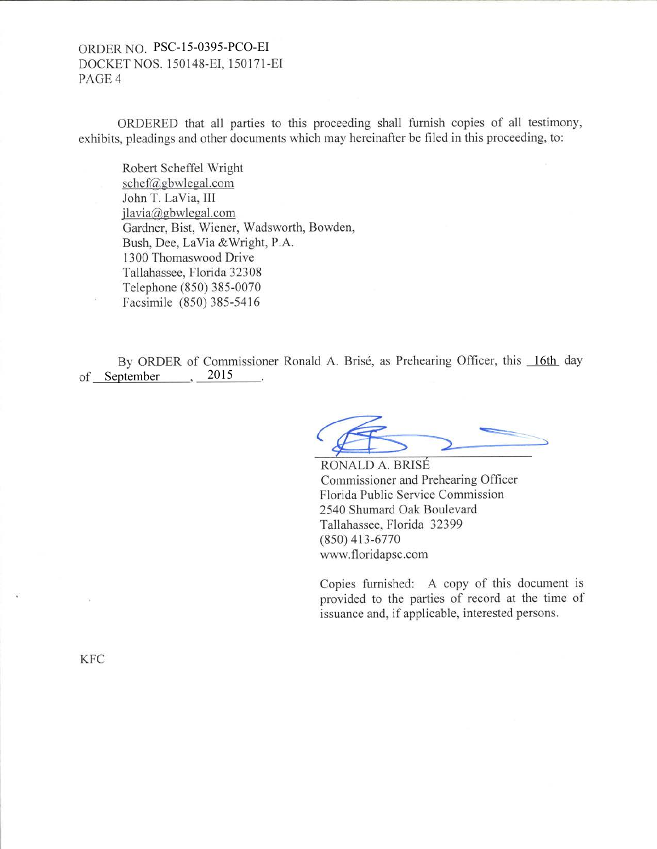# ORDER NO. PSC-15-0395-PCO-EI DOCKET NOS. 150148-EI. 150171-EI PAGE 4

ORDERED that all parties to this proceeding shall furnish copies of all testimony, exhibits, pleadings and other documents which may hereinafter be filed in this proceeding, to:

Robert Scheffel Wright schef@gbwlegal.com John T. LaVia, III jlavia@gbwlesal.com Gardner, Bist, Wiener, Wadsworth, Bowden, Bush, Dee, LaVia &Wright, P.A. 1300 Thomaswood Drive Tallahassee, Florida 32308 Telephone (850) 385-0070 Facsimile (850) 385-5416

By ORDER of Commissioner Ronald A. Brisé, as Prehearing Officer, this 16th day of September 2015

Commissioner and Prehearing Officer Florida Public Service Commission 2540 Shumard Oak Boulevard Tallahassee, Florida 32399 (8s0) 413-6770 www.floridapsc.com RONALD A. BRIS

Copies furnished: A copy of this document is provided to the parties of record at the time of issuance and, if applicable, interested persons.

KFC